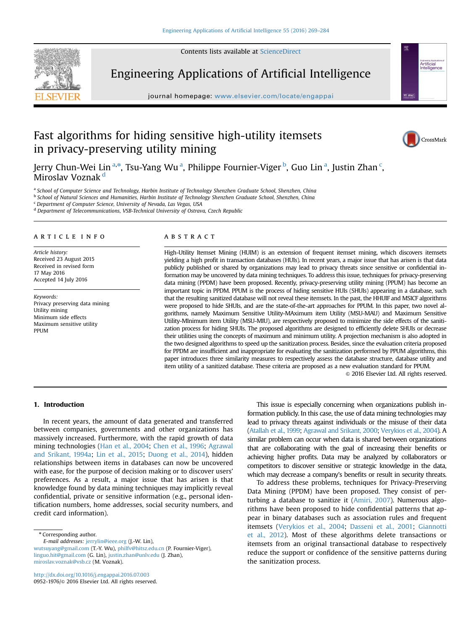Contents lists available at [ScienceDirect](www.sciencedirect.com/science/journal/09521976)



Engineering Applications of Artificial Intelligence

journal homepage: <www.elsevier.com/locate/engappai>rs/ $e$ 

## Fast algorithms for hiding sensitive high-utility itemsets in privacy-preserving utility mining



Artificial Artificial<br>Intelligence

Jerry Chun-Wei Lin<sup>a,\*</sup>, Tsu-Yang Wu<sup>a</sup>, Philippe Fournier-Viger <sup>b</sup>, Guo Lin<sup>a</sup>, Justin Zhan <sup>c</sup>, Miroslav Voznak<sup>d</sup>

a School of Computer Science and Technology, Harbin Institute of Technology Shenzhen Graduate School, Shenzhen, China

<sup>b</sup> School of Natural Sciences and Humanities, Harbin Institute of Technology Shenzhen Graduate School, Shenzhen, China

<sup>c</sup> Department of Computer Science, University of Nevada, Las Vegas, USA

<sup>d</sup> Department of Telecommunications, VSB-Technical University of Ostrava, Czech Republic

#### article info

Article history: Received 23 August 2015 Received in revised form 17 May 2016 Accepted 14 July 2016

Keywords: Privacy preserving data mining Utility mining Minimum side effects Maximum sensitive utility PPUM

### ABSTRACT

High-Utility Itemset Mining (HUIM) is an extension of frequent itemset mining, which discovers itemsets yielding a high profit in transaction databases (HUIs). In recent years, a major issue that has arisen is that data publicly published or shared by organizations may lead to privacy threats since sensitive or confidential information may be uncovered by data mining techniques. To address this issue, techniques for privacy-preserving data mining (PPDM) have been proposed. Recently, privacy-preserving utility mining (PPUM) has become an important topic in PPDM. PPUM is the process of hiding sensitive HUIs (SHUIs) appearing in a database, such that the resulting sanitized database will not reveal these itemsets. In the past, the HHUIF and MSICF algorithms were proposed to hide SHUIs, and are the state-of-the-art approaches for PPUM. In this paper, two novel algorithms, namely Maximum Sensitive Utility-MAximum item Utility (MSU-MAU) and Maximum Sensitive Utility-MInimum item Utility (MSU-MIU), are respectively proposed to minimize the side effects of the sanitization process for hiding SHUIs. The proposed algorithms are designed to efficiently delete SHUIs or decrease their utilities using the concepts of maximum and minimum utility. A projection mechanism is also adopted in the two designed algorithms to speed up the sanitization process. Besides, since the evaluation criteria proposed for PPDM are insufficient and inappropriate for evaluating the sanitization performed by PPUM algorithms, this paper introduces three similarity measures to respectively assess the database structure, database utility and item utility of a sanitized database. These criteria are proposed as a new evaluation standard for PPUM.

 $\odot$  2016 Elsevier Ltd. All rights reserved.

#### 1. Introduction

In recent years, the amount of data generated and transferred between companies, governments and other organizations has massively increased. Furthermore, with the rapid growth of data mining technologies (Han et al., 2004; Chen et al., 1996; Agrawal and Srikant, 1994a; Lin et al., 2015; Duong et al., 2014), hidden relationships between items in databases can now be uncovered with ease, for the purpose of decision making or to discover users' preferences. As a result, a major issue that has arisen is that knowledge found by data mining techniques may implicitly reveal confidential, private or sensitive information (e.g., personal identification numbers, home addresses, social security numbers, and credit card information).

\* Corresponding author.

E-mail addresses: [jerrylin@ieee.org](mailto:jerrylin@ieee.org) (J.-W. Lin),

[wutsuyang@gmail.com](mailto:wutsuyang@gmail.com) (T.-Y. Wu), [philfv@hitsz.edu.cn](mailto:philfv@hitsz.edu.cn) (P. Fournier-Viger), [linguo.hit@gmail.com](mailto:linguo.hit@gmail.com) (G. Lin), [justin.zhan@unlv.edu](mailto:justin.zhan@unlv.edu) (J. Zhan), [miroslav.voznak@vsb.cz](mailto:miroslav.voznak@vsb.cz) (M. Voznak).

<http://dx.doi.org/10.1016/j.engappai.2016.07.003> 0952-1976/© 2016 Elsevier Ltd. All rights reserved.

This issue is especially concerning when organizations publish information publicly. In this case, the use of data mining technologies may lead to privacy threats against individuals or the misuse of their data (Atallah et al., 1999; Agrawal and Srikant, 2000; Verykios et al., 2004). A similar problem can occur when data is shared between organizations that are collaborating with the goal of increasing their benefits or achieving higher profits. Data may be analyzed by collaborators or competitors to discover sensitive or strategic knowledge in the data, which may decrease a company's benefits or result in security threats.

To address these problems, techniques for Privacy-Preserving Data Mining (PPDM) have been proposed. They consist of perturbing a database to sanitize it (Amiri, 2007). Numerous algorithms have been proposed to hide confidential patterns that appear in binary databases such as association rules and frequent itemsets (Verykios et al., 2004; Dasseni et al., 2001; Giannotti et al., 2012). Most of these algorithms delete transactions or itemsets from an original transactional database to respectively reduce the support or confidence of the sensitive patterns during the sanitization process.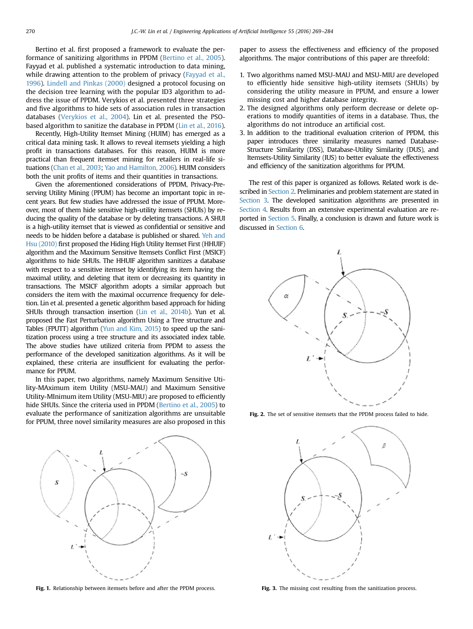Bertino et al. first proposed a framework to evaluate the performance of sanitizing algorithms in PPDM (Bertino et al., 2005). Fayyad et al. published a systematic introduction to data mining, while drawing attention to the problem of privacy (Fayyad et al., 1996). Lindell and Pinkas (2000) designed a protocol focusing on the decision tree learning with the popular ID3 algorithm to address the issue of PPDM. Verykios et al. presented three strategies and five algorithms to hide sets of association rules in transaction databases (Verykios et al., 2004). Lin et al. presented the PSObased algorithm to sanitize the database in PPDM (Lin et al., 2016).

Recently, High-Utility Itemset Mining (HUIM) has emerged as a critical data mining task. It allows to reveal itemsets yielding a high profit in transactions databases. For this reason, HUIM is more practical than frequent itemset mining for retailers in real-life situations (Chan et al., 2003; Yao and Hamilton, 2006). HUIM considers both the unit profits of items and their quantities in transactions.

Given the aforementioned considerations of PPDM, Privacy-Preserving Utility Mining (PPUM) has become an important topic in recent years. But few studies have addressed the issue of PPUM. Moreover, most of them hide sensitive high-utility itemsets (SHUIs) by reducing the quality of the database or by deleting transactions. A SHUI is a high-utility itemset that is viewed as confidential or sensitive and needs to be hidden before a database is published or shared. Yeh and Hsu (2010) first proposed the Hiding High Utility Itemset First (HHUIF) algorithm and the Maximum Sensitive Itemsets Conflict First (MSICF) algorithms to hide SHUIs. The HHUIF algorithm sanitizes a database with respect to a sensitive itemset by identifying its item having the maximal utility, and deleting that item or decreasing its quantity in transactions. The MSICF algorithm adopts a similar approach but considers the item with the maximal occurrence frequency for deletion. Lin et al. presented a genetic algorithm based approach for hiding SHUIs through transaction insertion (Lin et al., 2014b). Yun et al. proposed the Fast Perturbation algorithm Using a Tree structure and Tables (FPUTT) algorithm (Yun and Kim, 2015) to speed up the sanitization process using a tree structure and its associated index table. The above studies have utilized criteria from PPDM to assess the performance of the developed sanitization algorithms. As it will be explained, these criteria are insufficient for evaluating the performance for PPUM.

In this paper, two algorithms, namely Maximum Sensitive Utility-MAximum item Utility (MSU-MAU) and Maximum Sensitive Utility-MInimum item Utility (MSU-MIU) are proposed to efficiently hide SHUIs. Since the criteria used in PPDM (Bertino et al., 2005) to evaluate the performance of sanitization algorithms are unsuitable for PPUM, three novel similarity measures are also proposed in this



Fig. 1. Relationship between itemsets before and after the PPDM process.

paper to assess the effectiveness and efficiency of the proposed algorithms. The major contributions of this paper are threefold:

- 1. Two algorithms named MSU-MAU and MSU-MIU are developed to efficiently hide sensitive high-utility itemsets (SHUIs) by considering the utility measure in PPUM, and ensure a lower missing cost and higher database integrity.
- 2. The designed algorithms only perform decrease or delete operations to modify quantities of items in a database. Thus, the algorithms do not introduce an artificial cost.
- 3. In addition to the traditional evaluation criterion of PPDM, this paper introduces three similarity measures named Database-Structure Similarity (DSS), Database-Utility Similarity (DUS), and Itemsets-Utility Similarity (IUS) to better evaluate the effectiveness and efficiency of the sanitization algorithms for PPUM.

The rest of this paper is organized as follows. Related work is described in Section 2. Preliminaries and problem statement are stated in Section 3. The developed sanitization algorithms are presented in Section 4. Results from an extensive experimental evaluation are reported in Section 5. Finally, a conclusion is drawn and future work is discussed in Section 6.



Fig. 2. The set of sensitive itemsets that the PPDM process failed to hide.



Fig. 3. The missing cost resulting from the sanitization process.